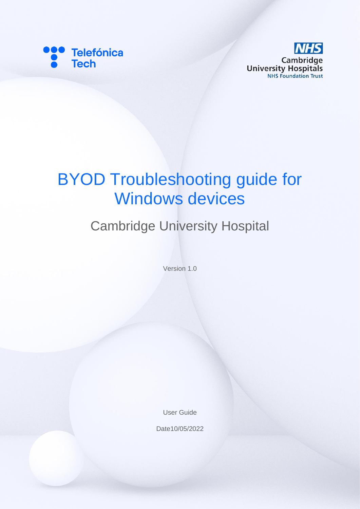



# BYOD Troubleshooting guide for Windows devices

# Cambridge University Hospital

Version 1.0

User Guide

Date10/05/2022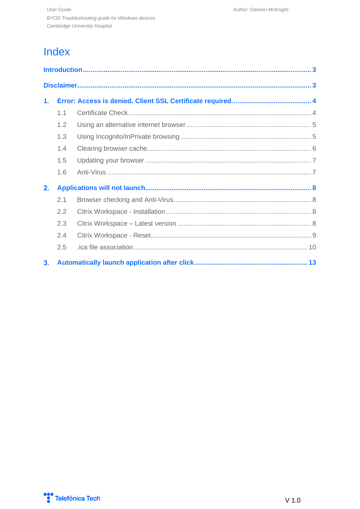## Index

| 1. |     |  |
|----|-----|--|
|    | 1.1 |  |
|    | 1.2 |  |
|    | 1.3 |  |
|    | 1.4 |  |
|    | 1.5 |  |
|    | 1.6 |  |
| 2. |     |  |
|    | 2.1 |  |
|    | 2.2 |  |
|    | 2.3 |  |
|    | 2.4 |  |
|    | 2.5 |  |
| 3. |     |  |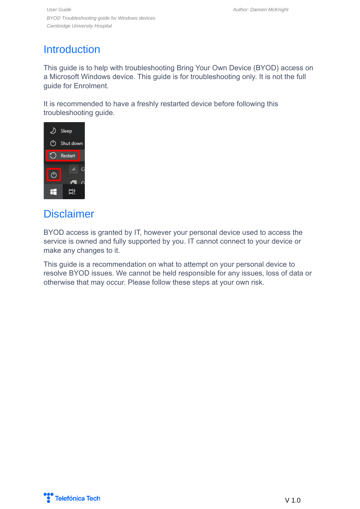*User Guide Author: Damien McKnight BYOD Troubleshooting guide for Windows devices Cambridge University Hospital*

### <span id="page-2-0"></span>**Introduction**

This guide is to help with troubleshooting Bring Your Own Device (BYOD) access on a Microsoft Windows device. This guide is for troubleshooting only. It is not the full guide for Enrolment.

It is recommended to have a freshly restarted device before following this troubleshooting guide.



### <span id="page-2-1"></span>**Disclaimer**

BYOD access is granted by IT, however your personal device used to access the service is owned and fully supported by you. IT cannot connect to your device or make any changes to it.

This guide is a recommendation on what to attempt on your personal device to resolve BYOD issues. We cannot be held responsible for any issues, loss of data or otherwise that may occur. Please follow these steps at your own risk.

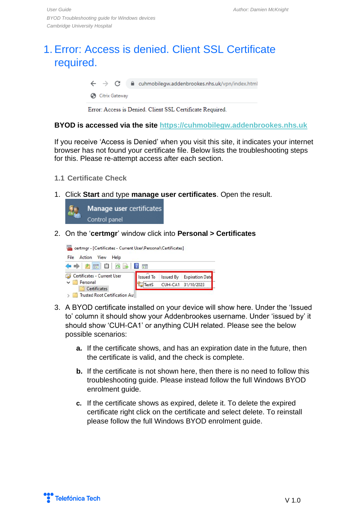### <span id="page-3-0"></span>1. Error: Access is denied. Client SSL Certificate required.

 $\leftarrow$   $\rightarrow$  C e cuhmobilegw.addenbrookes.nhs.uk/vpn/index.html

Citrix Gateway

Error: Access is Denied. Client SSL Certificate Required.

#### **BYOD is accessed via the site [https://cuhmobilegw.addenbrookes.nhs.uk](https://cuhmobilegw.addenbrookes.nhs.uk/)**

If you receive 'Access is Denied' when you visit this site, it indicates your internet browser has not found your certificate file. Below lists the troubleshooting steps for this. Please re-attempt access after each section.

- <span id="page-3-1"></span>**1.1 Certificate Check**
- 1. Click **Start** and type **manage user certificates**. Open the result.



2. On the '**certmgr**' window click into **Personal > Certificates**



- 3. A BYOD certificate installed on your device will show here. Under the 'Issued to' column it should show your Addenbrookes username. Under 'issued by' it should show 'CUH-CA1' or anything CUH related. Please see the below possible scenarios:
	- **a.** If the certificate shows, and has an expiration date in the future, then the certificate is valid, and the check is complete.
	- **b.** If the certificate is not shown here, then there is no need to follow this troubleshooting guide. Please instead follow the full Windows BYOD enrolment guide.
	- **c.** If the certificate shows as expired, delete it. To delete the expired certificate right click on the certificate and select delete. To reinstall please follow the full Windows BYOD enrolment guide.

Telefónica Tech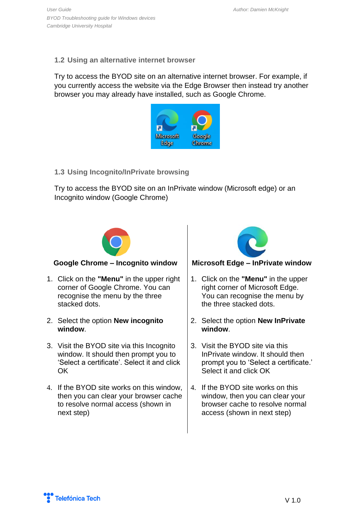#### <span id="page-4-0"></span>**1.2 Using an alternative internet browser**

Try to access the BYOD site on an alternative internet browser. For example, if you currently access the website via the Edge Browser then instead try another browser you may already have installed, such as Google Chrome.



#### <span id="page-4-1"></span>**1.3 Using Incognito/InPrivate browsing**

Try to access the BYOD site on an InPrivate window (Microsoft edge) or an Incognito window (Google Chrome)



- 1. Click on the **"Menu"** in the upper right corner of Google Chrome. You can recognise the menu by the three stacked dots.
- 2. Select the option **New incognito window**.
- 3. Visit the BYOD site via this Incognito window. It should then prompt you to 'Select a certificate'. Select it and click OK
- 4. If the BYOD site works on this window, then you can clear your browser cache to resolve normal access (shown in next step)



#### **Google Chrome – Incognito window Microsoft Edge – InPrivate window**

- 1. Click on the **"Menu"** in the upper right corner of Microsoft Edge. You can recognise the menu by the three stacked dots.
- 2. Select the option **New InPrivate window**.
- 3. Visit the BYOD site via this InPrivate window. It should then prompt you to 'Select a certificate.' Select it and click OK
- 4. If the BYOD site works on this window, then you can clear your browser cache to resolve normal access (shown in next step)

Telefónica Tech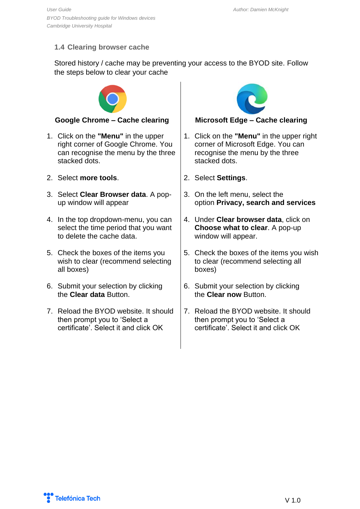#### <span id="page-5-0"></span>**1.4 Clearing browser cache**

Stored history / cache may be preventing your access to the BYOD site. Follow the steps below to clear your cache



#### **Google Chrome – Cache clearing Microsoft Edge – Cache clearing**

- 1. Click on the **"Menu"** in the upper right corner of Google Chrome. You can recognise the menu by the three stacked dots.
- 2. Select **more tools**.
- 3. Select **Clear Browser data**. A popup window will appear
- 4. In the top dropdown-menu, you can select the time period that you want to delete the cache data.
- 5. Check the boxes of the items you wish to clear (recommend selecting all boxes)
- 6. Submit your selection by clicking the **Clear data** Button.
- 7. Reload the BYOD website. It should then prompt you to 'Select a certificate'. Select it and click OK



- 1. Click on the **"Menu"** in the upper right corner of Microsoft Edge. You can recognise the menu by the three stacked dots.
- 2. Select **Settings**.
- 3. On the left menu, select the option **Privacy, search and services**
- 4. Under **Clear browser data**, click on **Choose what to clear**. A pop-up window will appear.
- 5. Check the boxes of the items you wish to clear (recommend selecting all boxes)
- 6. Submit your selection by clicking the **Clear now** Button.
- 7. Reload the BYOD website. It should then prompt you to 'Select a certificate'. Select it and click OK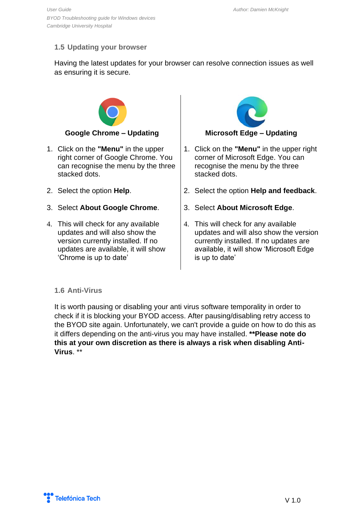### <span id="page-6-0"></span>**1.5 Updating your browser**

Having the latest updates for your browser can resolve connection issues as well as ensuring it is secure.



- 1. Click on the **"Menu"** in the upper right corner of Google Chrome. You can recognise the menu by the three stacked dots.
- 2. Select the option **Help**.
- 3. Select **About Google Chrome**.
- 4. This will check for any available updates and will also show the version currently installed. If no updates are available, it will show 'Chrome is up to date'



- 1. Click on the **"Menu"** in the upper right corner of Microsoft Edge. You can recognise the menu by the three stacked dots.
- 2. Select the option **Help and feedback**.
- 3. Select **About Microsoft Edge**.
- 4. This will check for any available updates and will also show the version currently installed. If no updates are available, it will show 'Microsoft Edge is up to date'

#### <span id="page-6-1"></span>**1.6 Anti-Virus**

It is worth pausing or disabling your anti virus software temporality in order to check if it is blocking your BYOD access. After pausing/disabling retry access to the BYOD site again. Unfortunately, we can't provide a guide on how to do this as it differs depending on the anti-virus you may have installed. **\*\*Please note do this at your own discretion as there is always a risk when disabling Anti-Virus**. \*\*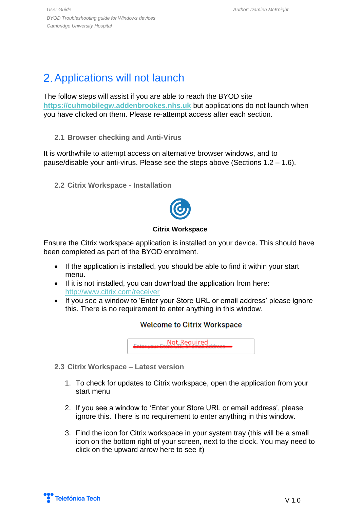## <span id="page-7-0"></span>2. Applications will not launch

The follow steps will assist if you are able to reach the BYOD site **[https://cuhmobilegw.addenbrookes.nhs.uk](https://cuhmobilegw.addenbrookes.nhs.uk/)** but applications do not launch when you have clicked on them. Please re-attempt access after each section.

<span id="page-7-1"></span>**2.1 Browser checking and Anti-Virus**

It is worthwhile to attempt access on alternative browser windows, and to pause/disable your anti-virus. Please see the steps above (Sections 1.2 – 1.6).

<span id="page-7-2"></span>**2.2 Citrix Workspace - Installation**



#### **Citrix Workspace**

Ensure the Citrix workspace application is installed on your device. This should have been completed as part of the BYOD enrolment.

- If the application is installed, you should be able to find it within your start menu.
- If it is not installed, you can download the application from here: <http://www.citrix.com/receiver>
- If you see a window to 'Enter your Store URL or email address' please ignore this. There is no requirement to enter anything in this window.

### **Welcome to Citrix Workspace**

Not Required

- <span id="page-7-3"></span>**2.3 Citrix Workspace – Latest version**
	- 1. To check for updates to Citrix workspace, open the application from your start menu
	- 2. If you see a window to 'Enter your Store URL or email address', please ignore this. There is no requirement to enter anything in this window.
	- 3. Find the icon for Citrix workspace in your system tray (this will be a small icon on the bottom right of your screen, next to the clock. You may need to click on the upward arrow here to see it)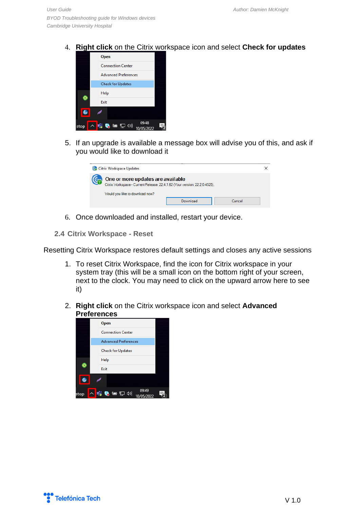4. **Right click** on the Citrix workspace icon and select **Check for updates**



5. If an upgrade is available a message box will advise you of this, and ask if you would like to download it

| <b>Co</b> Citrix Workspace Updates                                                                                                                 |          |        |
|----------------------------------------------------------------------------------------------------------------------------------------------------|----------|--------|
| One or more updates are available<br>Citrix Workspace - Current Release: 22.4.1.62 (Your version: 22.2.0.4525).<br>Would you like to download now? |          |        |
|                                                                                                                                                    | Download | Cancel |

- 6. Once downloaded and installed, restart your device.
- <span id="page-8-0"></span>**2.4 Citrix Workspace - Reset**

Resetting Citrix Workspace restores default settings and closes any active sessions

- 1. To reset Citrix Workspace, find the icon for Citrix workspace in your system tray (this will be a small icon on the bottom right of your screen, next to the clock. You may need to click on the upward arrow here to see it)
- 2. **Right click** on the Citrix workspace icon and select **Advanced Preferences**



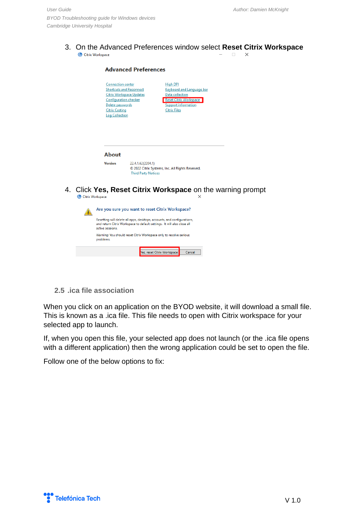#### 3. On the Advanced Preferences window select **Reset Citrix Workspace** Citrix Workspace  $\Box$  $\times$

|    |                    |                                                                                                                                | <b>Advanced Preferences</b>                                                                                                                        |                                                                                                                                                       |  |
|----|--------------------|--------------------------------------------------------------------------------------------------------------------------------|----------------------------------------------------------------------------------------------------------------------------------------------------|-------------------------------------------------------------------------------------------------------------------------------------------------------|--|
|    |                    | <b>Connection center</b><br><b>Configuration checker</b><br>Delete passwords<br><b>Citrix Casting</b><br><b>Log Collection</b> | <b>Shortcuts and Reconnect</b><br><b>Citrix Workspace Updates</b>                                                                                  | <b>High DPI</b><br>Keyboard and Language bar<br>Data collection<br><b>Reset Citrix Workspace</b><br><b>Support information</b><br><b>Citrix Files</b> |  |
|    |                    | <b>About</b><br><b>Version</b>                                                                                                 | 22.4.1.62(2204.1)                                                                                                                                  | © 2022 Citrix Systems, Inc. All Rights Reserved.                                                                                                      |  |
| 4. | C Citrix Workspace |                                                                                                                                | <b>Third Party Notices</b>                                                                                                                         | Click Yes, Reset Citrix Workspace on the warning prompt<br>×                                                                                          |  |
|    |                    |                                                                                                                                | Are you sure you want to reset Citrix Workspace?                                                                                                   |                                                                                                                                                       |  |
|    |                    | active sessions.                                                                                                               | Resetting will delete all apps, desktops, accounts, and configurations,<br>and return Citrix Workspace to default settings. It will also close all |                                                                                                                                                       |  |
|    |                    | problems.                                                                                                                      | Warning: You should reset Citrix Workspace only to resolve serious                                                                                 |                                                                                                                                                       |  |
|    |                    |                                                                                                                                |                                                                                                                                                    |                                                                                                                                                       |  |

Yes, reset Citrix Workspace

#### <span id="page-9-0"></span>**2.5 .ica file association**

When you click on an application on the BYOD website, it will download a small file. This is known as a .ica file. This file needs to open with Citrix workspace for your selected app to launch.

Cancel

If, when you open this file, your selected app does not launch (or the .ica file opens with a different application) then the wrong application could be set to open the file.

Follow one of the below options to fix: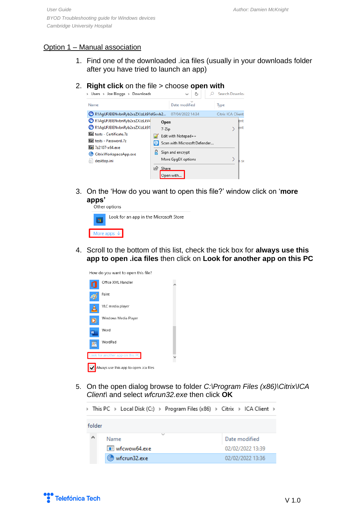#### Option 1 – Manual association

- 1. Find one of the downloaded .ica files (usually in your downloads folder after you have tried to launch an app)
- 2. **Right click** on the file  $>$  choose **open with**<br>  $\rightarrow$  Users  $\rightarrow$  Joe Bloggs  $\rightarrow$  Downloads<br>  $\rightarrow$   $\rightarrow$   $\rightarrow$   $\rightarrow$   $\rightarrow$  Sear



3. On the 'How do you want to open this file?' window click on '**more apps'**

| Utilui Uptiuna                         |  |
|----------------------------------------|--|
| Look for an app in the Microsoft Store |  |
| More apps $\downarrow$                 |  |
|                                        |  |

4. Scroll to the bottom of this list, check the tick box for **always use this app to open .ica files** then click on **Look for another app on this PC**

|   | How do you want to open this file?     |  |
|---|----------------------------------------|--|
|   | Office XML Handler                     |  |
|   | Paint                                  |  |
|   | VLC media player                       |  |
|   | Windows Media Player                   |  |
| W | Word                                   |  |
|   | WordPad                                |  |
|   | Look for another app on this PC        |  |
|   | Always use this app to open .ica files |  |

5. On the open dialog browse to folder *C:\Program Files (x86)\Citrix\ICA Client\* and select *wfcrun32.exe* then click **OK**

> This PC > Local Disk (C:) > Program Files (x86) > Citrix > ICA Client > folder ۸ Name Date modified **TE** wfcwow64.exe 02/02/2022 13:39 C wfcrun32.exe 02/02/2022 13:36

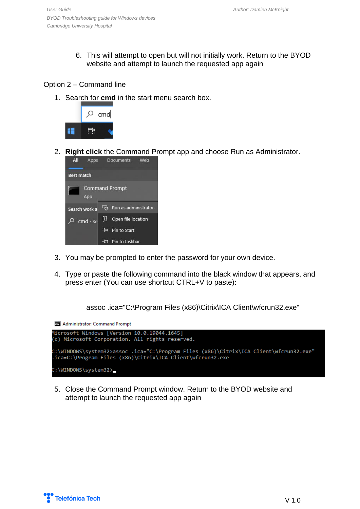6. This will attempt to open but will not initially work. Return to the BYOD website and attempt to launch the requested app again

#### Option 2 – Command line

1. Search for **cmd** in the start menu search box.



2. **Right click** the Command Prompt app and choose Run as Administrator.



- 3. You may be prompted to enter the password for your own device.
- 4. Type or paste the following command into the black window that appears, and press enter (You can use shortcut CTRL+V to paste):

```
assoc .ica="C:\Program Files (x86)\Citrix\ICA Client\wfcrun32.exe"
```
**Administrator: Command Prompt** 



5. Close the Command Prompt window. Return to the BYOD website and attempt to launch the requested app again